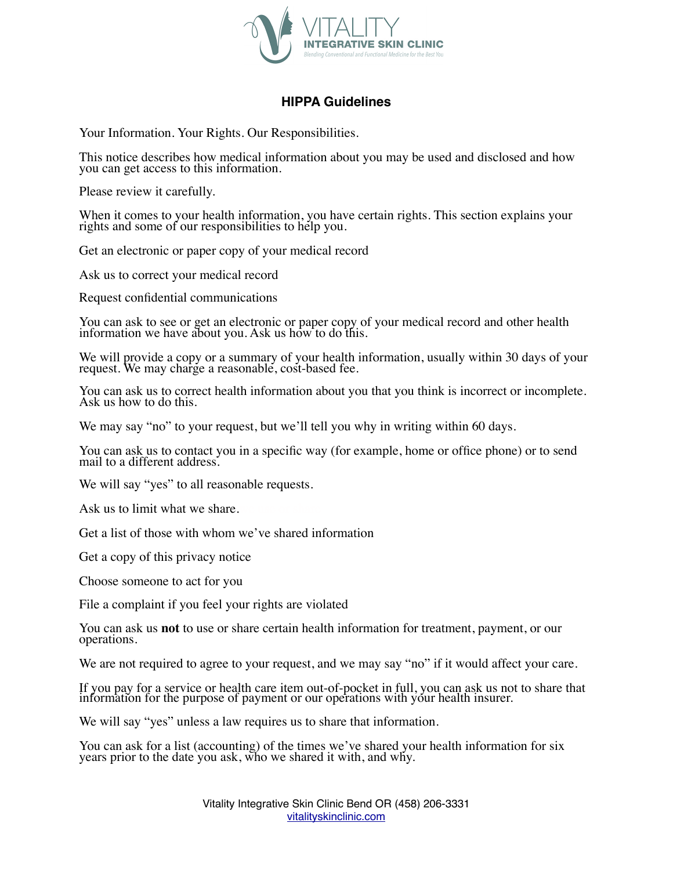

## **HIPPA Guidelines**

Your Information. Your Rights. Our Responsibilities.

This notice describes how medical information about you may be used and disclosed and how you can get access to this information.

Please review it carefully.

When it comes to your health information, you have certain rights. This section explains your rights and some of our responsibilities to help you.

Get an electronic or paper copy of your medical record

Ask us to correct your medical record

Request confidential communications

You can ask to see or get an electronic or paper copy of your medical record and other health information we have about you. Ask us how to do this.

We will provide a copy or a summary of your health information, usually within 30 days of your request. We may charge a reasonable, cost-based fee.

You can ask us to correct health information about you that you think is incorrect or incomplete. Ask us how to do this.

We may say "no" to your request, but we'll tell you why in writing within 60 days.

You can ask us to contact you in a specific way (for example, home or office phone) or to send mail to a different address.

We will say "yes" to all reasonable requests.

Ask us to limit what we share.

Get a list of those with whom we've shared information

Get a copy of this privacy notice

Choose someone to act for you

File a complaint if you feel your rights are violated

You can ask us **not** to use or share certain health information for treatment, payment, or our operations.

We are not required to agree to your request, and we may say "no" if it would affect your care.

If you pay for a service or health care item out-of-pocket in full, you can ask us not to share that information for the purpose of payment or our operations with your health insurer.

We will say "yes" unless a law requires us to share that information.

You can ask for a list (accounting) of the times we've shared your health information for six years prior to the date you ask, who we shared it with, and why.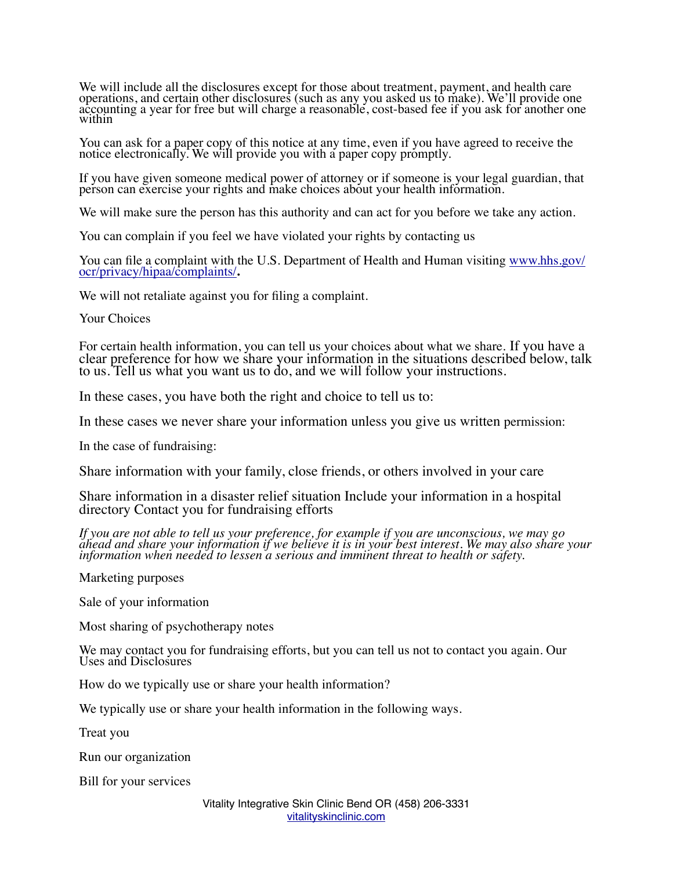We will include all the disclosures except for those about treatment, payment, and health care operations, and certain other disclosures (such as any you asked us to make). We'll provide one accounting a year for free but will charge a reasonable, cost-based fee if you ask for another one within

You can ask for a paper copy of this notice at any time, even if you have agreed to receive the notice electronically. We will provide you with a paper copy promptly.

If you have given someone medical power of attorney or if someone is your legal guardian, that person can exercise your rights and make choices about your health information.

We will make sure the person has this authority and can act for you before we take any action.

You can complain if you feel we have violated your rights by contacting us

You can file a complaint with the U.S. Department of Health and Human visiting [www.hhs.gov/](http://www.hhs.gov/ocr/privacy/hipaa/complaints/)<br>[ocr/privacy/hipaa/complaints/](http://www.hhs.gov/ocr/privacy/hipaa/complaints/).

We will not retaliate against you for filing a complaint.

Your Choices

For certain health information, you can tell us your choices about what we share. If you have a clear preference for how we share your information in the situations described below, talk to us. Tell us what you want us to do, and we will follow your instructions.

In these cases, you have both the right and choice to tell us to:

In these cases we never share your information unless you give us written permission:

In the case of fundraising:

Share information with your family, close friends, or others involved in your care

Share information in a disaster relief situation Include your information in a hospital directory Contact you for fundraising efforts

*If you are not able to tell us your preference, for example if you are unconscious, we may go ahead and share your information if we believe it is in your best interest. We may also share your information when needed to lessen a serious and imminent threat to health or safety.* 

Marketing purposes

Sale of your information

Most sharing of psychotherapy notes

We may contact you for fundraising efforts, but you can tell us not to contact you again. Our Uses and Disclosures

How do we typically use or share your health information?

We typically use or share your health information in the following ways.

Treat you

Run our organization

Bill for your services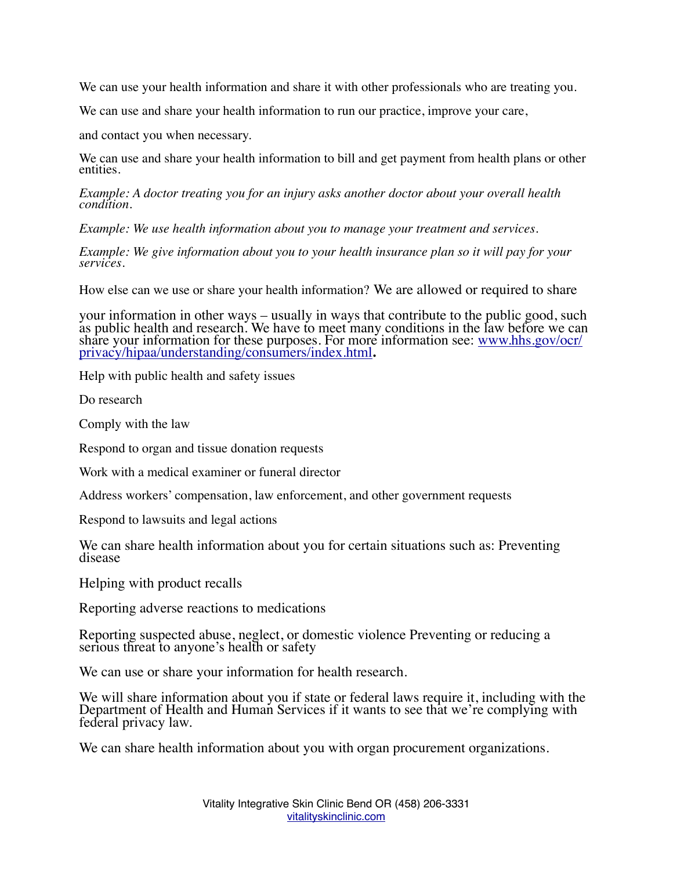We can use your health information and share it with other professionals who are treating you.

We can use and share your health information to run our practice, improve your care,

and contact you when necessary.

We can use and share your health information to bill and get payment from health plans or other entities.

*Example: A doctor treating you for an injury asks another doctor about your overall health condition.* 

*Example: We use health information about you to manage your treatment and services.* 

*Example: We give information about you to your health insurance plan so it will pay for your services.* 

How else can we use or share your health information? We are allowed or required to share

your information in other ways – usually in ways that contribute to the public good, such as public health and research. We have to meet many conditions in the law before we can share your information for these purposes. For more information see: [www.hhs.gov/ocr/](http://www.hhs.gov/ocr/privacy/hipaa/understanding/consumers/index.html) [privacy/hipaa/understanding/consumers/index.html](http://www.hhs.gov/ocr/privacy/hipaa/understanding/consumers/index.html)**.** 

Help with public health and safety issues

Do research

Comply with the law

Respond to organ and tissue donation requests

Work with a medical examiner or funeral director

Address workers' compensation, law enforcement, and other government requests

Respond to lawsuits and legal actions

We can share health information about you for certain situations such as: Preventing disease

Helping with product recalls

Reporting adverse reactions to medications

Reporting suspected abuse, neglect, or domestic violence Preventing or reducing a serious threat to anyone's health or safety

We can use or share your information for health research.

We will share information about you if state or federal laws require it, including with the Department of Health and Human Services if it wants to see that we're complying with federal privacy law.

We can share health information about you with organ procurement organizations.